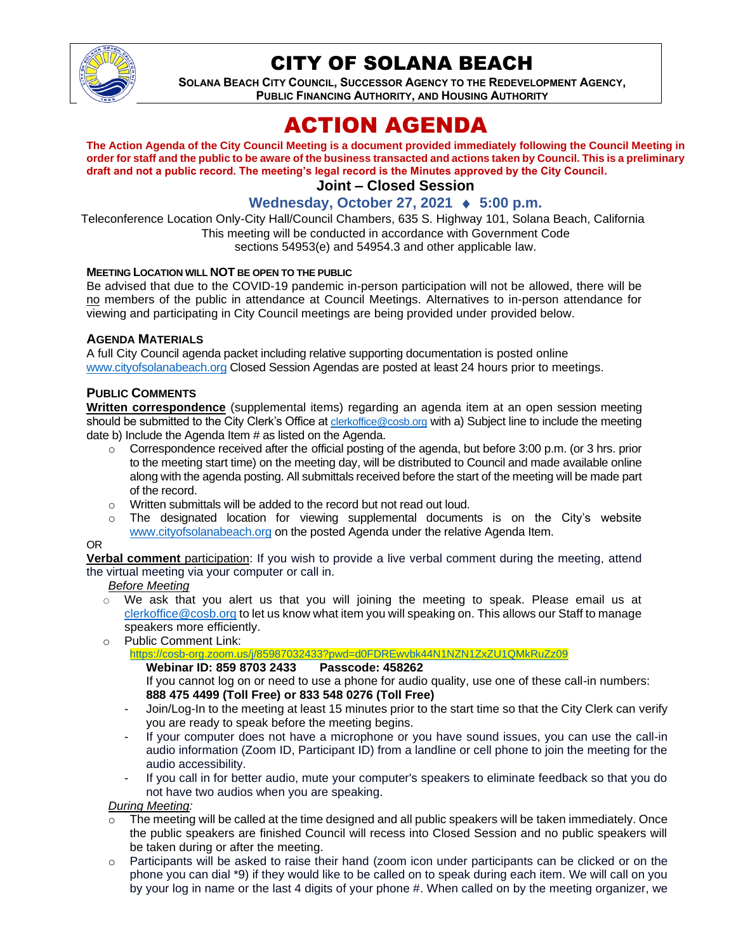

## CITY OF SOLANA BEACH

**SOLANA BEACH CITY COUNCIL, SUCCESSOR AGENCY TO THE REDEVELOPMENT AGENCY, PUBLIC FINANCING AUTHORITY, AND HOUSING AUTHORITY** 

# ACTION AGENDA

**The Action Agenda of the City Council Meeting is a document provided immediately following the Council Meeting in order for staff and the public to be aware of the business transacted and actions taken by Council. This is a preliminary draft and not a public record. The meeting's legal record is the Minutes approved by the City Council.**

## **Joint – Closed Session**

### **Wednesday, October 27, 2021 ♦ 5:00 p.m.**

Teleconference Location Only-City Hall/Council Chambers, 635 S. Highway 101, Solana Beach, California This meeting will be conducted in accordance with Government Code sections 54953(e) and 54954.3 and other applicable law.

#### **MEETING LOCATION WILL NOT BE OPEN TO THE PUBLIC**

Be advised that due to the COVID-19 pandemic in-person participation will not be allowed, there will be no members of the public in attendance at Council Meetings. Alternatives to in-person attendance for viewing and participating in City Council meetings are being provided under provided below.

#### **AGENDA MATERIALS**

A full City Council agenda packet including relative supporting documentation is posted online [www.cityofsolanabeach.org](https://urldefense.proofpoint.com/v2/url?u=http-3A__www.cityofsolanabeach.org&d=DwQFAg&c=euGZstcaTDllvimEN8b7jXrwqOf-v5A_CdpgnVfiiMM&r=1XAsCUuqwK_tji2t0s1uIQ&m=wny2RVfZJ2tN24LkqZmkUWNpwL_peNtTZUBlTBZiMM4&s=6ATguqxJUOD7VVtloplAbyuyNaVcEh6Fl4q1iw55lCY&e=) Closed Session Agendas are posted at least 24 hours prior to meetings.

#### **PUBLIC COMMENTS**

**Written correspondence** (supplemental items) regarding an agenda item at an open session meeting should be submitted to the City Clerk's Office at [clerkoffice@cosb.org](mailto:clerkoffice@cosb.org) with a) Subject line to include the meeting date b) Include the Agenda Item # as listed on the Agenda.

- o Correspondence received after the official posting of the agenda, but before 3:00 p.m. (or 3 hrs. prior to the meeting start time) on the meeting day, will be distributed to Council and made available online along with the agenda posting. All submittals received before the start of the meeting will be made part of the record.
- o Written submittals will be added to the record but not read out loud.
- $\circ$  The designated location for viewing supplemental documents is on the City's website [www.cityofsolanabeach.org](http://www.cityofsolanabeach.org/) on the posted Agenda under the relative Agenda Item.

#### OR

**Verbal comment** participation: If you wish to provide a live verbal comment during the meeting, attend the virtual meeting via your computer or call in.

*Before Meeting*

- $\circ$  We ask that you alert us that you will joining the meeting to speak. Please email us at [clerkoffice@cosb.org](mailto:clerkoffice@cosb.org) to let us know what item you will speaking on. This allows our Staff to manage speakers more efficiently.
- o Public Comment Link:
	- <https://cosb-org.zoom.us/j/85987032433?pwd=d0FDREwvbk44N1NZN1ZxZU1QMkRuZz09>

#### **Webinar ID: 859 8703 2433**

If you cannot log on or need to use a phone for audio quality, use one of these call-in numbers: **888 475 4499 (Toll Free) or 833 548 0276 (Toll Free)**

- Join/Log-In to the meeting at least 15 minutes prior to the start time so that the City Clerk can verify you are ready to speak before the meeting begins.
- If your computer does not have a microphone or you have sound issues, you can use the call-in audio information (Zoom ID, Participant ID) from a landline or cell phone to join the meeting for the audio accessibility.
- If you call in for better audio, mute your computer's speakers to eliminate feedback so that you do not have two audios when you are speaking.

*During Meeting:* 

- The meeting will be called at the time designed and all public speakers will be taken immediately. Once the public speakers are finished Council will recess into Closed Session and no public speakers will be taken during or after the meeting.
- o Participants will be asked to raise their hand (zoom icon under participants can be clicked or on the phone you can dial \*9) if they would like to be called on to speak during each item. We will call on you by your log in name or the last 4 digits of your phone #. When called on by the meeting organizer, we